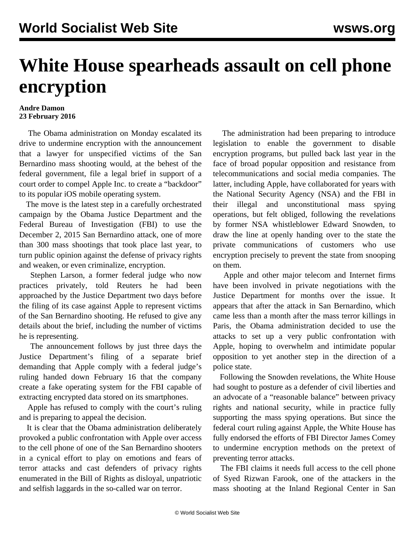## **White House spearheads assault on cell phone encryption**

## **Andre Damon 23 February 2016**

 The Obama administration on Monday escalated its drive to undermine encryption with the announcement that a lawyer for unspecified victims of the San Bernardino mass shooting would, at the behest of the federal government, file a legal brief in support of a court order to compel Apple Inc. to create a "backdoor" to its popular iOS mobile operating system.

 The move is the latest step in a carefully orchestrated campaign by the Obama Justice Department and the Federal Bureau of Investigation (FBI) to use the December 2, 2015 San Bernardino attack, one of more than 300 mass shootings that took place last year, to turn public opinion against the defense of privacy rights and weaken, or even criminalize, encryption.

 Stephen Larson, a former federal judge who now practices privately, told Reuters he had been approached by the Justice Department two days before the filing of its case against Apple to represent victims of the San Bernardino shooting. He refused to give any details about the brief, including the number of victims he is representing.

 The announcement follows by just three days the Justice Department's filing of a separate brief demanding that Apple comply with a federal judge's ruling handed down February 16 that the company create a fake operating system for the FBI capable of extracting encrypted data stored on its smartphones.

 Apple has refused to comply with the court's ruling and is preparing to appeal the decision.

 It is clear that the Obama administration deliberately provoked a public confrontation with Apple over access to the cell phone of one of the San Bernardino shooters in a cynical effort to play on emotions and fears of terror attacks and cast defenders of privacy rights enumerated in the Bill of Rights as disloyal, unpatriotic and selfish laggards in the so-called war on terror.

 The administration had been preparing to introduce legislation to enable the government to disable encryption programs, but pulled back last year in the face of broad popular opposition and resistance from telecommunications and social media companies. The latter, including Apple, have collaborated for years with the National Security Agency (NSA) and the FBI in their illegal and unconstitutional mass spying operations, but felt obliged, following the revelations by former NSA whistleblower Edward Snowden, to draw the line at openly handing over to the state the private communications of customers who use encryption precisely to prevent the state from snooping on them.

 Apple and other major telecom and Internet firms have been involved in private negotiations with the Justice Department for months over the issue. It appears that after the attack in San Bernardino, which came less than a month after the mass terror killings in Paris, the Obama administration decided to use the attacks to set up a very public confrontation with Apple, hoping to overwhelm and intimidate popular opposition to yet another step in the direction of a police state.

 Following the Snowden revelations, the White House had sought to posture as a defender of civil liberties and an advocate of a "reasonable balance" between privacy rights and national security, while in practice fully supporting the mass spying operations. But since the federal court ruling against Apple, the White House has fully endorsed the efforts of FBI Director James Comey to undermine encryption methods on the pretext of preventing terror attacks.

 The FBI claims it needs full access to the cell phone of Syed Rizwan Farook, one of the attackers in the mass shooting at the Inland Regional Center in San